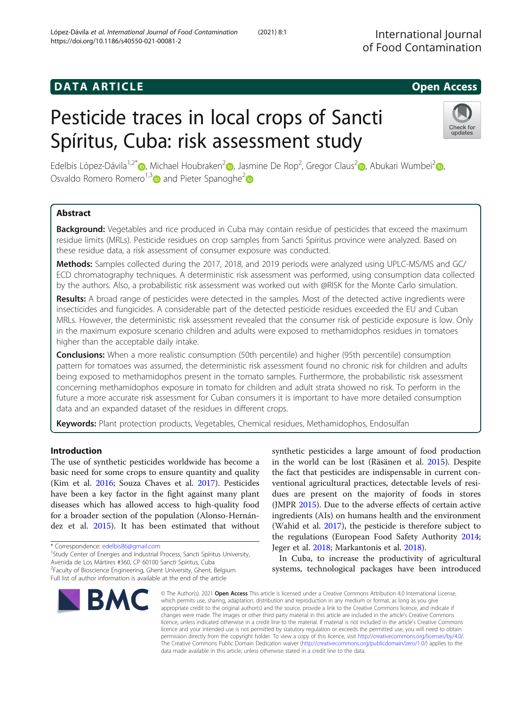# Pesticide traces in local crops of Sancti Spíritus, Cuba: risk assessment study

Edelbis López-Dávila<sup>1,2[\\*](http://orcid.org/0000-0002-8218-0011)</sup>®[,](https://orcid.org/0000-0001-7349-6420) Michael Houbraken<sup>2</sup>®, Jasmine De Rop<sup>2</sup>, Gregor Claus<sup>2</sup>®, Abukari Wumbei<sup>2</sup>®, Osvaldo Romero Romero<sup>1,[3](https://orcid.org/0000-0003-1447-3151)</sup> and Pieter Spanoghe<sup>[2](https://orcid.org/0000-0002-8158-4401)</sup>

# Abstract

**Background:** Vegetables and rice produced in Cuba may contain residue of pesticides that exceed the maximum residue limits (MRLs). Pesticide residues on crop samples from Sancti Spíritus province were analyzed. Based on these residue data, a risk assessment of consumer exposure was conducted.

Methods: Samples collected during the 2017, 2018, and 2019 periods were analyzed using UPLC-MS/MS and GC/ ECD chromatography techniques. A deterministic risk assessment was performed, using consumption data collected by the authors. Also, a probabilistic risk assessment was worked out with @RISK for the Monte Carlo simulation.

Results: A broad range of pesticides were detected in the samples. Most of the detected active ingredients were insecticides and fungicides. A considerable part of the detected pesticide residues exceeded the EU and Cuban MRLs. However, the deterministic risk assessment revealed that the consumer risk of pesticide exposure is low. Only in the maximum exposure scenario children and adults were exposed to methamidophos residues in tomatoes higher than the acceptable daily intake.

**Conclusions:** When a more realistic consumption (50th percentile) and higher (95th percentile) consumption pattern for tomatoes was assumed, the deterministic risk assessment found no chronic risk for children and adults being exposed to methamidophos present in the tomato samples. Furthermore, the probabilistic risk assessment concerning methamidophos exposure in tomato for children and adult strata showed no risk. To perform in the future a more accurate risk assessment for Cuban consumers it is important to have more detailed consumption data and an expanded dataset of the residues in different crops.

Keywords: Plant protection products, Vegetables, Chemical residues, Methamidophos, Endosulfan

# Introduction

The use of synthetic pesticides worldwide has become a basic need for some crops to ensure quantity and quality (Kim et al. [2016;](#page-12-0) Souza Chaves et al. [2017\)](#page-13-0). Pesticides have been a key factor in the fight against many plant diseases which has allowed access to high-quality food for a broader section of the population (Alonso-Hernández et al. [2015](#page-12-0)). It has been estimated that without

 $1$ Study Center of Energies and Industrial Process, Sancti Spíritus University, Avenida de Los Mártires #360, CP 60100 Sancti Spíritus, Cuba

<sup>2</sup> Faculty of Bioscience Engineering, Ghent University, Ghent, Belgium

in the world can be lost (Räsänen et al. [2015](#page-13-0)). Despite the fact that pesticides are indispensable in current conventional agricultural practices, detectable levels of residues are present on the majority of foods in stores (JMPR [2015](#page-12-0)). Due to the adverse effects of certain active ingredients (AIs) on humans health and the environment (Wahid et al. [2017\)](#page-13-0), the pesticide is therefore subject to the regulations (European Food Safety Authority [2014](#page-12-0); Jeger et al. [2018](#page-12-0); Markantonis et al. [2018](#page-13-0)).

synthetic pesticides a large amount of food production

In Cuba, to increase the productivity of agricultural systems, technological packages have been introduced

© The Author(s), 2021 **Open Access** This article is licensed under a Creative Commons Attribution 4.0 International License, which permits use, sharing, adaptation, distribution and reproduction in any medium or format, as long as you give appropriate credit to the original author(s) and the source, provide a link to the Creative Commons licence, and indicate if changes were made. The images or other third party material in this article are included in the article's Creative Commons licence, unless indicated otherwise in a credit line to the material. If material is not included in the article's Creative Commons licence and your intended use is not permitted by statutory regulation or exceeds the permitted use, you will need to obtain permission directly from the copyright holder. To view a copy of this licence, visit [http://creativecommons.org/licenses/by/4.0/.](http://creativecommons.org/licenses/by/4.0/) The Creative Commons Public Domain Dedication waiver [\(http://creativecommons.org/publicdomain/zero/1.0/](http://creativecommons.org/publicdomain/zero/1.0/)) applies to the data made available in this article, unless otherwise stated in a credit line to the data.





<sup>\*</sup> Correspondence: [edelbis86@gmail.com](mailto:edelbis86@gmail.com) <sup>1</sup>

Full list of author information is available at the end of the article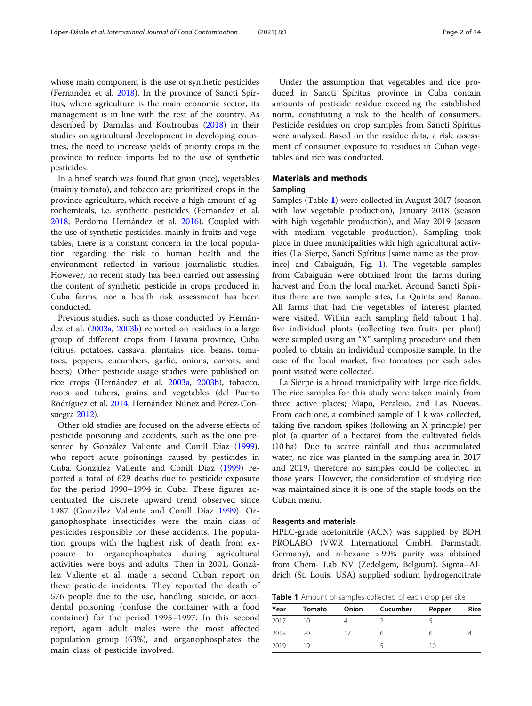whose main component is the use of synthetic pesticides (Fernandez et al. [2018\)](#page-12-0). In the province of Sancti Spíritus, where agriculture is the main economic sector, its management is in line with the rest of the country. As described by Damalas and Koutroubas ([2018](#page-12-0)) in their studies on agricultural development in developing countries, the need to increase yields of priority crops in the province to reduce imports led to the use of synthetic pesticides.

In a brief search was found that grain (rice), vegetables (mainly tomato), and tobacco are prioritized crops in the province agriculture, which receive a high amount of agrochemicals, i.e. synthetic pesticides (Fernandez et al. [2018](#page-12-0); Perdomo Hernández et al. [2016\)](#page-13-0). Coupled with the use of synthetic pesticides, mainly in fruits and vegetables, there is a constant concern in the local population regarding the risk to human health and the environment reflected in various journalistic studies. However, no recent study has been carried out assessing the content of synthetic pesticide in crops produced in Cuba farms, nor a health risk assessment has been conducted.

Previous studies, such as those conducted by Hernández et al. [\(2003a](#page-12-0), [2003b\)](#page-12-0) reported on residues in a large group of different crops from Havana province, Cuba (citrus, potatoes, cassava, plantains, rice, beans, tomatoes, peppers, cucumbers, garlic, onions, carrots, and beets). Other pesticide usage studies were published on rice crops (Hernández et al. [2003a](#page-12-0), [2003b](#page-12-0)), tobacco, roots and tubers, grains and vegetables (del Puerto Rodríguez et al. [2014](#page-12-0); Hernández Núñez and Pérez-Consuegra [2012\)](#page-12-0).

Other old studies are focused on the adverse effects of pesticide poisoning and accidents, such as the one presented by González Valiente and Conill Díaz ([1999](#page-12-0)), who report acute poisonings caused by pesticides in Cuba. González Valiente and Conill Díaz ([1999\)](#page-12-0) reported a total of 629 deaths due to pesticide exposure for the period 1990–1994 in Cuba. These figures accentuated the discrete upward trend observed since 1987 (González Valiente and Conill Díaz [1999\)](#page-12-0). Organophosphate insecticides were the main class of pesticides responsible for these accidents. The population groups with the highest risk of death from exposure to organophosphates during agricultural activities were boys and adults. Then in 2001, González Valiente et al. made a second Cuban report on these pesticide incidents. They reported the death of 576 people due to the use, handling, suicide, or accidental poisoning (confuse the container with a food container) for the period 1995–1997. In this second report, again adult males were the most affected population group (63%), and organophosphates the main class of pesticide involved.

Under the assumption that vegetables and rice produced in Sancti Spíritus province in Cuba contain amounts of pesticide residue exceeding the established norm, constituting a risk to the health of consumers. Pesticide residues on crop samples from Sancti Spíritus were analyzed. Based on the residue data, a risk assessment of consumer exposure to residues in Cuban vegetables and rice was conducted.

# Materials and methods

# Sampling

Samples (Table 1) were collected in August 2017 (season with low vegetable production), January 2018 (season with high vegetable production), and May 2019 (season with medium vegetable production). Sampling took place in three municipalities with high agricultural activities (La Sierpe, Sancti Spíritus [same name as the province] and Cabaiguán, Fig. [1\)](#page-2-0). The vegetable samples from Cabaiguán were obtained from the farms during harvest and from the local market. Around Sancti Spíritus there are two sample sites, La Quinta and Banao. All farms that had the vegetables of interest planted were visited. Within each sampling field (about 1 ha), five individual plants (collecting two fruits per plant) were sampled using an "X" sampling procedure and then pooled to obtain an individual composite sample. In the case of the local market, five tomatoes per each sales point visited were collected.

La Sierpe is a broad municipality with large rice fields. The rice samples for this study were taken mainly from three active places; Mapo, Peralejo, and Las Nuevas. From each one, a combined sample of 1 k was collected, taking five random spikes (following an X principle) per plot (a quarter of a hectare) from the cultivated fields (10 ha). Due to scarce rainfall and thus accumulated water, no rice was planted in the sampling area in 2017 and 2019, therefore no samples could be collected in those years. However, the consideration of studying rice was maintained since it is one of the staple foods on the Cuban menu.

#### Reagents and materials

HPLC-grade acetonitrile (ACN) was supplied by BDH PROLABO (VWR International GmbH, Darmstadt, Germany), and n-hexane > 99% purity was obtained from Chem- Lab NV (Zedelgem, Belgium). Sigma–Aldrich (St. Louis, USA) supplied sodium hydrogencitrate

Table 1 Amount of samples collected of each crop per site

| Year | Tomato | Onion | Cucumber | Pepper | Rice |
|------|--------|-------|----------|--------|------|
| 2017 | 10     |       |          |        |      |
| 2018 | 20     |       | h        |        |      |
| 2019 | 19     |       |          | 10     |      |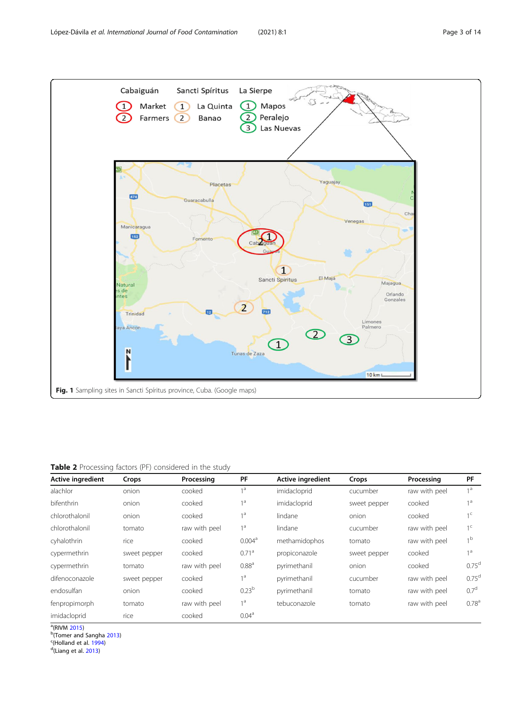<span id="page-2-0"></span>

Table 2 Processing factors (PF) considered in the study

| <b>Active ingredient</b> | Crops        | Processing    | PF                 | <b>Active ingredient</b> | Crops        | Processing    | PF                |
|--------------------------|--------------|---------------|--------------------|--------------------------|--------------|---------------|-------------------|
| alachlor                 | onion        | cooked        | 1 <sup>d</sup>     | imidacloprid             | cucumber     | raw with peel | 1 <sup>a</sup>    |
| bifenthrin               | onion        | cooked        | 1 <sup>a</sup>     | imidacloprid             | sweet pepper | cooked        | 1 <sup>a</sup>    |
| chlorothalonil           | onion        | cooked        | 1 <sup>a</sup>     | lindane                  | onion        | cooked        | 1 <sup>c</sup>    |
| chlorothalonil           | tomato       | raw with peel | 1 <sup>a</sup>     | lindane                  | cucumber     | raw with peel | 1 <sup>c</sup>    |
| cyhalothrin              | rice         | cooked        | 0.004 <sup>a</sup> | methamidophos            | tomato       | raw with peel | 1 <sup>b</sup>    |
| cypermethrin             | sweet pepper | cooked        | 0.71 <sup>a</sup>  | propiconazole            | sweet pepper | cooked        | 1 <sup>a</sup>    |
| cypermethrin             | tomato       | raw with peel | 0.88 <sup>a</sup>  | pyrimethanil             | onion        | cooked        | 0.75 <sup>d</sup> |
| difenoconazole           | sweet pepper | cooked        | 1 <sup>a</sup>     | pyrimethanil             | cucumber     | raw with peel | 0.75 <sup>d</sup> |
| endosulfan               | onion        | cooked        | 0.23 <sup>b</sup>  | pyrimethanil             | tomato       | raw with peel | 0.7 <sup>d</sup>  |
| fenpropimorph            | tomato       | raw with peel | 1 <sup>a</sup>     | tebuconazole             | tomato       | raw with peel | 0.78 <sup>a</sup> |
| imidacloprid             | rice         | cooked        | 0.04 <sup>a</sup>  |                          |              |               |                   |

 $\frac{a}{b}$ (RIVM [2015](#page-13-0))

<sup>b</sup>(Tomer and Sangha [2013](#page-13-0))

 $c$ (Holland et al. [1994](#page-12-0))

 $d$ (Liang et al. [2013](#page-13-0))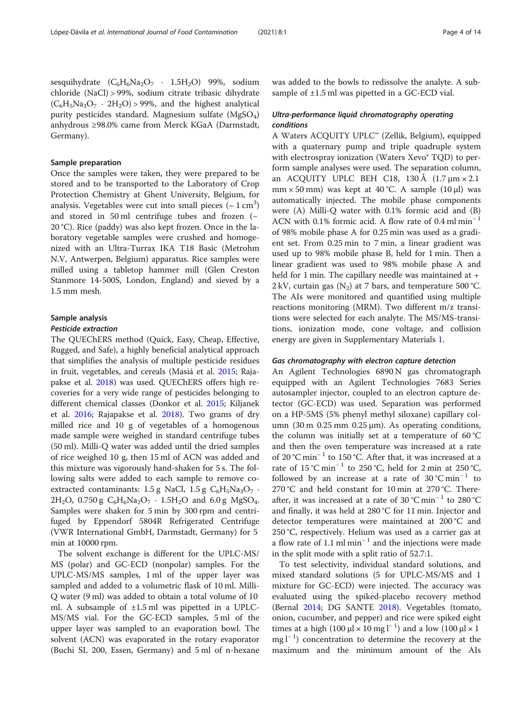# Sample preparation

Once the samples were taken, they were prepared to be stored and to be transported to the Laboratory of Crop Protection Chemistry at Ghent University, Belgium, for analysis. Vegetables were cut into small pieces  $({\sim}\,1\,{\rm cm}^3)$ and stored in 50 ml centrifuge tubes and frozen (− 20 °C). Rice (paddy) was also kept frozen. Once in the laboratory vegetable samples were crushed and homogenized with an Ultra-Turrax IKA T18 Basic (Metrohm N.V, Antwerpen, Belgium) apparatus. Rice samples were milled using a tabletop hammer mill (Glen Creston Stanmore 14-500S, London, England) and sieved by a 1.5 mm mesh.

# Sample analysis

#### Pesticide extraction

The QUEChERS method (Quick, Easy, Cheap, Effective, Rugged, and Safe), a highly beneficial analytical approach that simplifies the analysis of multiple pesticide residues in fruit, vegetables, and cereals (Masiá et al. [2015;](#page-13-0) Rajapakse et al. [2018](#page-13-0)) was used. QUEChERS offers high recoveries for a very wide range of pesticides belonging to different chemical classes (Donkor et al. [2015;](#page-12-0) Kiljanek et al. [2016;](#page-12-0) Rajapakse et al. [2018\)](#page-13-0). Two grams of dry milled rice and 10 g of vegetables of a homogenous made sample were weighed in standard centrifuge tubes (50 ml). Milli-Q water was added until the dried samples of rice weighed 10 g, then 15 ml of ACN was added and this mixture was vigorously hand-shaken for 5 s. The following salts were added to each sample to remove coextracted contaminants: 1.5 g NaCl, 1.5 g  $C_6H_5Na_3O_7$ .  $2H_2O$ , 0.750 g  $C_6H_6Na_2O_7 \cdot 1.5H_2O$  and 6.0 g MgSO<sub>4</sub>. Samples were shaken for 5 min by 300 rpm and centrifuged by Eppendorf 5804R Refrigerated Centrifuge (VWR International GmbH, Darmstadt, Germany) for 5 min at 10000 rpm.

The solvent exchange is different for the UPLC-MS/ MS (polar) and GC-ECD (nonpolar) samples. For the UPLC-MS/MS samples, 1 ml of the upper layer was sampled and added to a volumetric flask of 10 ml. Milli-Q water (9 ml) was added to obtain a total volume of 10 ml. A subsample of ±1.5 ml was pipetted in a UPLC-MS/MS vial. For the GC-ECD samples, 5 ml of the upper layer was sampled to an evaporation bowl. The solvent (ACN) was evaporated in the rotary evaporator (Buchi SL 200, Essen, Germany) and 5 ml of n-hexane

was added to the bowls to redissolve the analyte. A subsample of  $\pm 1.5$  ml was pipetted in a GC-ECD vial.

# Ultra-performance liquid chromatography operating conditions

A Waters ACQUITY UPLC™ (Zellik, Belgium), equipped with a quaternary pump and triple quadruple system with electrospray ionization (Waters Xevo<sup>®</sup> TOD) to perform sample analyses were used. The separation column, an ACQUITY UPLC BEH C18, 130 Å  $(1.7 \mu m \times 2.1)$ mm  $\times$  50 mm) was kept at 40 °C. A sample (10 µl) was automatically injected. The mobile phase components were (A) Milli-Q water with 0.1% formic acid and (B) ACN with 0.1% formic acid. A flow rate of 0.4 ml min<sup>−</sup> <sup>1</sup> of 98% mobile phase A for 0.25 min was used as a gradient set. From 0.25 min to 7 min, a linear gradient was used up to 98% mobile phase B, held for 1 min. Then a linear gradient was used to 98% mobile phase A and held for 1 min. The capillary needle was maintained at + 2 kV, curtain gas  $(N_2)$  at 7 bars, and temperature 500 °C. The AIs were monitored and quantified using multiple reactions monitoring (MRM). Two different m/z transitions were selected for each analyte. The MS/MS-transitions, ionization mode, cone voltage, and collision energy are given in Supplementary Materials [1.](#page-11-0)

#### Gas chromatography with electron capture detection

An Agilent Technologies 6890 N gas chromatograph equipped with an Agilent Technologies 7683 Series autosampler injector, coupled to an electron capture detector (GC-ECD) was used. Separation was performed on a HP-5MS (5% phenyl methyl siloxane) capillary column (30 m 0.25 mm 0.25 μm). As operating conditions, the column was initially set at a temperature of  $60^{\circ}$ C and then the oven temperature was increased at a rate of 20 °C min<sup>−</sup> <sup>1</sup> to 150 °C. After that, it was increased at a rate of 15 °C min<sup>-1</sup> to 250 °C, held for 2 min at 250 °C, followed by an increase at a rate of 30 °C min<sup>-1</sup> to 270 °C and held constant for 10 min at 270 °C. Thereafter, it was increased at a rate of 30 °C min<sup>-1</sup> to 280 °C and finally, it was held at 280 °C for 11 min. Injector and detector temperatures were maintained at 200 °C and 250 °C, respectively. Helium was used as a carrier gas at a flow rate of 1.1 ml min<sup>-1</sup> and the injections were made in the split mode with a split ratio of 52.7:1.

To test selectivity, individual standard solutions, and mixed standard solutions (5 for UPLC-MS/MS and 1 mixture for GC-ECD) were injected. The accuracy was evaluated using the spiked-placebo recovery method (Bernal [2014](#page-12-0); DG SANTE [2018\)](#page-12-0). Vegetables (tomato, onion, cucumber, and pepper) and rice were spiked eight times at a high (100  $\mu$ l × 10 mg l<sup>-1</sup>) and a low (100  $\mu$ l × 1 mg l<sup>-1</sup>) concentration to determine the recovery at the maximum and the minimum amount of the AIs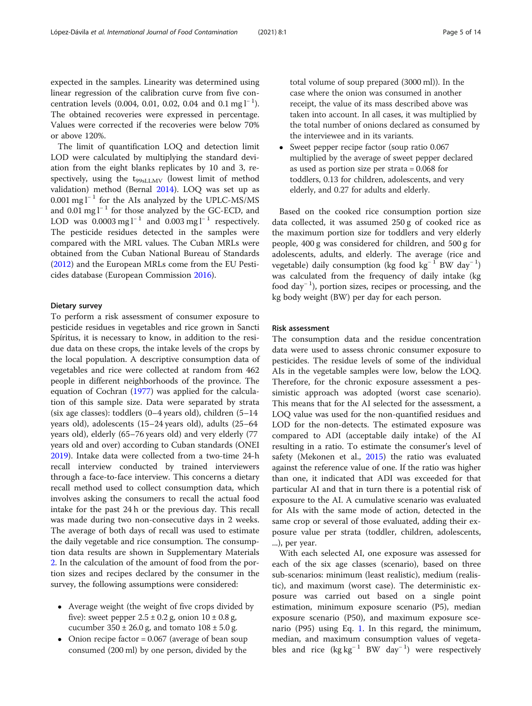expected in the samples. Linearity was determined using linear regression of the calibration curve from five concentration levels (0.004, 0.01, 0.02, 0.04 and 0.1 mg  $l^{-1}$ ). The obtained recoveries were expressed in percentage. Values were corrected if the recoveries were below 70% or above 120%.

The limit of quantification LOQ and detection limit LOD were calculated by multiplying the standard deviation from the eight blanks replicates by 10 and 3, respectively, using the  $t_{99sLLMV}$  (lowest limit of method validation) method (Bernal [2014\)](#page-12-0). LOQ was set up as 0.001 mg  $l^{-1}$  for the AIs analyzed by the UPLC-MS/MS and 0.01 mg  $l^{-1}$  for those analyzed by the GC-ECD, and LOD was  $0.0003 \text{ mg l}^{-1}$  and  $0.003 \text{ mg l}^{-1}$  respectively. The pesticide residues detected in the samples were compared with the MRL values. The Cuban MRLs were obtained from the Cuban National Bureau of Standards ([2012](#page-12-0)) and the European MRLs come from the EU Pesticides database (European Commission [2016\)](#page-12-0).

#### Dietary survey

To perform a risk assessment of consumer exposure to pesticide residues in vegetables and rice grown in Sancti Spíritus, it is necessary to know, in addition to the residue data on these crops, the intake levels of the crops by the local population. A descriptive consumption data of vegetables and rice were collected at random from 462 people in different neighborhoods of the province. The equation of Cochran [\(1977\)](#page-12-0) was applied for the calculation of this sample size. Data were separated by strata (six age classes): toddlers (0–4 years old), children (5–14 years old), adolescents (15–24 years old), adults (25–64 years old), elderly (65–76 years old) and very elderly (77 years old and over) according to Cuban standards (ONEI [2019](#page-13-0)). Intake data were collected from a two-time 24-h recall interview conducted by trained interviewers through a face-to-face interview. This concerns a dietary recall method used to collect consumption data, which involves asking the consumers to recall the actual food intake for the past 24 h or the previous day. This recall was made during two non-consecutive days in 2 weeks. The average of both days of recall was used to estimate the daily vegetable and rice consumption. The consumption data results are shown in Supplementary Materials [2.](#page-11-0) In the calculation of the amount of food from the portion sizes and recipes declared by the consumer in the survey, the following assumptions were considered:

- Average weight (the weight of five crops divided by five): sweet pepper  $2.5 \pm 0.2$  g, onion  $10 \pm 0.8$  g, cucumber  $350 \pm 26.0$  g, and tomato  $108 \pm 5.0$  g.
- Onion recipe factor = 0.067 (average of bean soup consumed (200 ml) by one person, divided by the

total volume of soup prepared (3000 ml)). In the case where the onion was consumed in another receipt, the value of its mass described above was taken into account. In all cases, it was multiplied by the total number of onions declared as consumed by the interviewee and in its variants.

• Sweet pepper recipe factor (soup ratio 0.067) multiplied by the average of sweet pepper declared as used as portion size per strata = 0.068 for toddlers, 0.13 for children, adolescents, and very elderly, and 0.27 for adults and elderly.

Based on the cooked rice consumption portion size data collected, it was assumed 250 g of cooked rice as the maximum portion size for toddlers and very elderly people, 400 g was considered for children, and 500 g for adolescents, adults, and elderly. The average (rice and vegetable) daily consumption (kg food kg<sup>-1</sup> BW day<sup>-1</sup>) was calculated from the frequency of daily intake (kg food day<sup>−</sup> <sup>1</sup> ), portion sizes, recipes or processing, and the kg body weight (BW) per day for each person.

#### Risk assessment

The consumption data and the residue concentration data were used to assess chronic consumer exposure to pesticides. The residue levels of some of the individual AIs in the vegetable samples were low, below the LOQ. Therefore, for the chronic exposure assessment a pessimistic approach was adopted (worst case scenario). This means that for the AI selected for the assessment, a LOQ value was used for the non-quantified residues and LOD for the non-detects. The estimated exposure was compared to ADI (acceptable daily intake) of the AI resulting in a ratio. To estimate the consumer's level of safety (Mekonen et al., [2015](#page-13-0)) the ratio was evaluated against the reference value of one. If the ratio was higher than one, it indicated that ADI was exceeded for that particular AI and that in turn there is a potential risk of exposure to the AI. A cumulative scenario was evaluated for AIs with the same mode of action, detected in the same crop or several of those evaluated, adding their exposure value per strata (toddler, children, adolescents, ...), per year.

With each selected AI, one exposure was assessed for each of the six age classes (scenario), based on three sub-scenarios: minimum (least realistic), medium (realistic), and maximum (worst case). The deterministic exposure was carried out based on a single point estimation, minimum exposure scenario (P5), median exposure scenario (P50), and maximum exposure scenario (P95) using Eq. [1.](#page-5-0) In this regard, the minimum, median, and maximum consumption values of vegetables and rice  $(kg kg^{-1}BW day^{-1})$  were respectively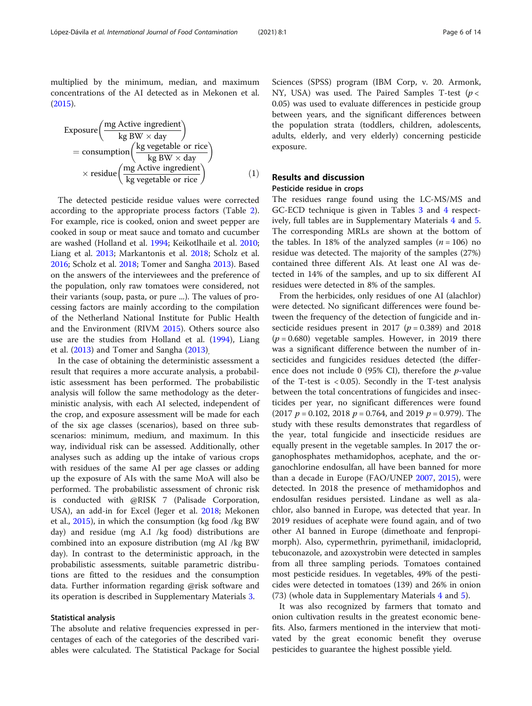<span id="page-5-0"></span>multiplied by the minimum, median, and maximum concentrations of the AI detected as in Mekonen et al. ([2015](#page-13-0)).

$$
\begin{aligned}\n\text{Exposure} & \left( \frac{\text{mg Active ingredient}}{\text{kg BW} \times \text{day}} \right) \\
&= \text{consumption} & \left( \frac{\text{kg vegetables or rice}}{\text{kg BW} \times \text{day}} \right) \\
&\times \text{residue} & \left( \frac{\text{mg Active ingredient}}{\text{kg vegetables or rice}} \right) \\
&\tag{1}\n\end{aligned}
$$

The detected pesticide residue values were corrected according to the appropriate process factors (Table [2](#page-2-0)). For example, rice is cooked, onion and sweet pepper are cooked in soup or meat sauce and tomato and cucumber are washed (Holland et al. [1994](#page-12-0); Keikotlhaile et al. [2010](#page-12-0); Liang et al. [2013](#page-13-0); Markantonis et al. [2018](#page-13-0); Scholz et al. [2016](#page-13-0); Scholz et al. [2018](#page-13-0); Tomer and Sangha [2013\)](#page-13-0). Based on the answers of the interviewees and the preference of the population, only raw tomatoes were considered, not their variants (soup, pasta, or pure ...). The values of processing factors are mainly according to the compilation of the Netherland National Institute for Public Health and the Environment (RIVM [2015](#page-13-0)). Others source also use are the studies from Holland et al. ([1994](#page-12-0)), Liang et al. [\(2013](#page-13-0)) and Tomer and Sangha [\(2013\)](#page-13-0),

In the case of obtaining the deterministic assessment a result that requires a more accurate analysis, a probabilistic assessment has been performed. The probabilistic analysis will follow the same methodology as the deterministic analysis, with each AI selected, independent of the crop, and exposure assessment will be made for each of the six age classes (scenarios), based on three subscenarios: minimum, medium, and maximum. In this way, individual risk can be assessed. Additionally, other analyses such as adding up the intake of various crops with residues of the same AI per age classes or adding up the exposure of AIs with the same MoA will also be performed. The probabilistic assessment of chronic risk is conducted with @RISK 7 (Palisade Corporation, USA), an add-in for Excel (Jeger et al. [2018](#page-12-0); Mekonen et al., [2015](#page-13-0)), in which the consumption (kg food /kg BW day) and residue (mg A.I /kg food) distributions are combined into an exposure distribution (mg AI /kg BW day). In contrast to the deterministic approach, in the probabilistic assessments, suitable parametric distributions are fitted to the residues and the consumption data. Further information regarding @risk software and its operation is described in Supplementary Materials [3](#page-11-0).

#### Statistical analysis

The absolute and relative frequencies expressed in percentages of each of the categories of the described variables were calculated. The Statistical Package for Social

Sciences (SPSS) program (IBM Corp, v. 20. Armonk, NY, USA) was used. The Paired Samples T-test ( $p <$ 0.05) was used to evaluate differences in pesticide group between years, and the significant differences between the population strata (toddlers, children, adolescents, adults, elderly, and very elderly) concerning pesticide exposure.

# Results and discussion

# Pesticide residue in crops

The residues range found using the LC-MS/MS and GC-ECD technique is given in Tables [3](#page-6-0) and [4](#page-7-0) respectively, full tables are in Supplementary Materials [4](#page-11-0) and [5](#page-11-0). The corresponding MRLs are shown at the bottom of the tables. In 18% of the analyzed samples  $(n = 106)$  no residue was detected. The majority of the samples (27%) contained three different AIs. At least one AI was detected in 14% of the samples, and up to six different AI residues were detected in 8% of the samples.

From the herbicides, only residues of one AI (alachlor) were detected. No significant differences were found between the frequency of the detection of fungicide and insecticide residues present in 2017 ( $p = 0.389$ ) and 2018  $(p = 0.680)$  vegetable samples. However, in 2019 there was a significant difference between the number of insecticides and fungicides residues detected (the difference does not include 0 (95% CI), therefore the  $p$ -value of the T-test is  $< 0.05$ ). Secondly in the T-test analysis between the total concentrations of fungicides and insecticides per year, no significant differences were found (2017  $p = 0.102$ , 2018  $p = 0.764$ , and 2019  $p = 0.979$ ). The study with these results demonstrates that regardless of the year, total fungicide and insecticide residues are equally present in the vegetable samples. In 2017 the organophosphates methamidophos, acephate, and the organochlorine endosulfan, all have been banned for more than a decade in Europe (FAO/UNEP [2007](#page-12-0), [2015](#page-12-0)), were detected. In 2018 the presence of methamidophos and endosulfan residues persisted. Lindane as well as alachlor, also banned in Europe, was detected that year. In 2019 residues of acephate were found again, and of two other AI banned in Europe (dimethoate and fenpropimorph). Also, cypermethrin, pyrimethanil, imidacloprid, tebuconazole, and azoxystrobin were detected in samples from all three sampling periods. Tomatoes contained most pesticide residues. In vegetables, 49% of the pesticides were detected in tomatoes (139) and 26% in onion (73) (whole data in Supplementary Materials [4](#page-11-0) and [5](#page-11-0)).

It was also recognized by farmers that tomato and onion cultivation results in the greatest economic benefits. Also, farmers mentioned in the interview that motivated by the great economic benefit they overuse pesticides to guarantee the highest possible yield.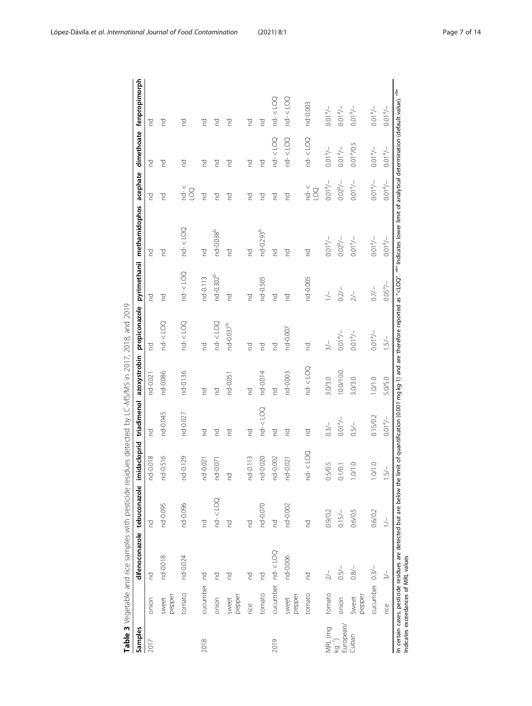<span id="page-6-0"></span>

|                        |                                     | Table 3 Vegetable and rice samples with pesticide residues detected by LC-MS/MS in 2017, 2018, and 2019                                                                                                                                 |               |              |                        |                |                       |                       |                                                                                                                                                                                      |                                      |                           |                                    |
|------------------------|-------------------------------------|-----------------------------------------------------------------------------------------------------------------------------------------------------------------------------------------------------------------------------------------|---------------|--------------|------------------------|----------------|-----------------------|-----------------------|--------------------------------------------------------------------------------------------------------------------------------------------------------------------------------------|--------------------------------------|---------------------------|------------------------------------|
| Samples                |                                     | difenoconazole tebuconazole                                                                                                                                                                                                             |               |              |                        |                |                       |                       | imidacloprid triadimenol azoxystrobin propiconazole pyrimethanil methamidophos acephate dimethoate fenpropimorph                                                                     |                                      |                           |                                    |
| 2017                   | onion                               | p                                                                                                                                                                                                                                       | p             | nd-0.018     | p                      | nd-0.021       | pq                    | pd                    | 5                                                                                                                                                                                    | pq                                   | pd                        | P                                  |
|                        | pepper<br>sweet                     | nd-0.018                                                                                                                                                                                                                                | nd-0.095      | nd-0.516     | nd-0.045               | nd-0.086       | $nd - <$ $LOQ$        | g                     | pd                                                                                                                                                                                   | pd                                   | pq                        | g                                  |
|                        | tomato                              | nd-0.024                                                                                                                                                                                                                                | nd-0.096      | nd-0.129     | nd-0.027               | nd-0.136       | $nd - <$ $LOQ$        | $nd - < LOQ$          | $nd - < LOO$                                                                                                                                                                         | $nd - <$<br>$\sum_{i=1}^{n}$         | pq                        | 5                                  |
| 2018                   | cucumber nd                         |                                                                                                                                                                                                                                         | pd            | nd-0.021     | <b>PO</b>              | <b>PO</b>      | <b>P</b>              | nd-0.113              | p                                                                                                                                                                                    | pd                                   | P                         | g                                  |
|                        | onion                               | g                                                                                                                                                                                                                                       | $nd - < LOQ$  | nd-0.071     | g                      | g              | $nd - <$ $LOQ$        | nd-0.302 <sup>b</sup> | nd-0.038 <sup>b</sup>                                                                                                                                                                | 70                                   | pq                        | 5                                  |
|                        | pepper<br>sweet                     | P                                                                                                                                                                                                                                       | p             | p            | P                      | nd-0.051       | nd-0.037 <sup>b</sup> | pd                    | p                                                                                                                                                                                    | pq                                   | pq                        | g                                  |
|                        | rice                                | P                                                                                                                                                                                                                                       | p             | nd-0.113     | <b>P</b>               | pd             | pd                    | <b>PO</b>             | p                                                                                                                                                                                    | pd                                   | pq                        | 5                                  |
|                        | tomato                              | P                                                                                                                                                                                                                                       | nd-0.070      | nd-0.020     | $nd - <$ $LOQ$         | nd-0.014       | pd                    | nd-0.505              | nd-0.293 <sup>b</sup>                                                                                                                                                                | pd                                   | p                         | g                                  |
| 2019                   |                                     | cucumber nd- <loq< td=""><td>pq</td><td>nd-0.002</td><td><b>PO</b></td><td><math>\overline{C}</math></td><td>p</td><td><b>PO</b></td><td>P</td><td>pq</td><td><math>nd - &lt;</math> LOQ</td><td><math>nd - &lt; LOQ</math></td></loq<> | pq            | nd-0.002     | <b>PO</b>              | $\overline{C}$ | p                     | <b>PO</b>             | P                                                                                                                                                                                    | pq                                   | $nd - <$ LOQ              | $nd - < LOQ$                       |
|                        | pepper<br>sweet                     | nd-0.006                                                                                                                                                                                                                                | nd-0.002      | nd-0.021     | pd                     | nd-0.003       | nd-0.007              | pd                    | g                                                                                                                                                                                    | pq                                   | $nd - < LOQ$              | $nd - <$ $LOQ$                     |
|                        | tomato                              | p                                                                                                                                                                                                                                       | P             | $nd - < LOO$ | p                      | $nd - < LOO$   | pd                    | nd-0.005              | P                                                                                                                                                                                    | $nd - c$<br>$\Omega$                 | $nd - < LOQ$              | nd-0.003                           |
| MRL (mg                | tomato                              |                                                                                                                                                                                                                                         | 0.9/0.2       | .5/0.5       | $0.3/-$                | 3.0/3.0        | $\frac{1}{2}$         | $\geq$                | $-/-10.0$                                                                                                                                                                            | $-/-$ <sub>e</sub> LO <sub>'</sub> O | $-\ell_e$ l00             | $-/-10.0$                          |
| European/<br>$kg^{-1}$ | onion                               | $0.5/-$                                                                                                                                                                                                                                 | $0.15/-$      | 0.1/0.1      | $-/-$ <sub>0</sub> 100 | 10.0/10.0      | $-/-$ 10.0            | $0.2/-$               | $0.02^{a}/-$                                                                                                                                                                         | $-/-0.02$                            | $-/-$ 100                 | $-/-10.0$                          |
| Cuban                  | pepper<br>Sweet                     | $0.8/-$                                                                                                                                                                                                                                 | 0.6/0.5       | 0.10         | $0.5/-$                | 3.0/3.0        | $-/-$ 100             | $\geq$ / $\sim$       | $-/-$ <sub>0.0</sub>                                                                                                                                                                 | $-/-$ <sub>e</sub> 10'0              | Q.01 <sup>ª</sup> /0.5    | $-/-$ <sub>0</sub> 10 <sup>o</sup> |
|                        | cucumber 0.3/-                      |                                                                                                                                                                                                                                         | 0.6/0.2       | 0.10         | 0.15/0.2               | 1.0/1.0        | $-/ 100$              | $0.7/-$               | $-/-10.0$                                                                                                                                                                            | $-/-10.0$                            | $-/-$ 100                 | $-/-$ <sub>0.0</sub>               |
|                        | rice                                | $\frac{1}{2}$                                                                                                                                                                                                                           | $\frac{1}{1}$ | 5/           | $-/-1000$              | 5.0/5.0        | $1.5/-$               | $0.05\% -$            | $-/-$ <sub>0</sub> .010                                                                                                                                                              | $-/-10.0$                            | $-/-$ <sub>0</sub> $1000$ | $-/-10.0$                          |
|                        | Indicates exceedances of MRL values | In certain cases, pesticide residues are detected but are below the                                                                                                                                                                     |               |              |                        |                |                       |                       | limit of quantification (0.001 mg kg-1) and are therefore reported as " <loq". <sup="">aa" Indicates lower limit of analytical determination (default value). <sup>aba</sup></loq".> |                                      |                           |                                    |

OLOC P Table 3 Vegetable and rice samples with pesticide residues detected by LC-MS/MS in 2017, 2018, and 2019 DING FING MAC/MAC<sub>in</sub>  $\overline{C}$  $\frac{1}{7}$  $\ddot{t}$  $rac{1}{4}$  $\frac{1}{2}$ crist.  $\frac{1}{1}$ L.  $\frac{1}{2}$ arahla  $\frac{1}{2}$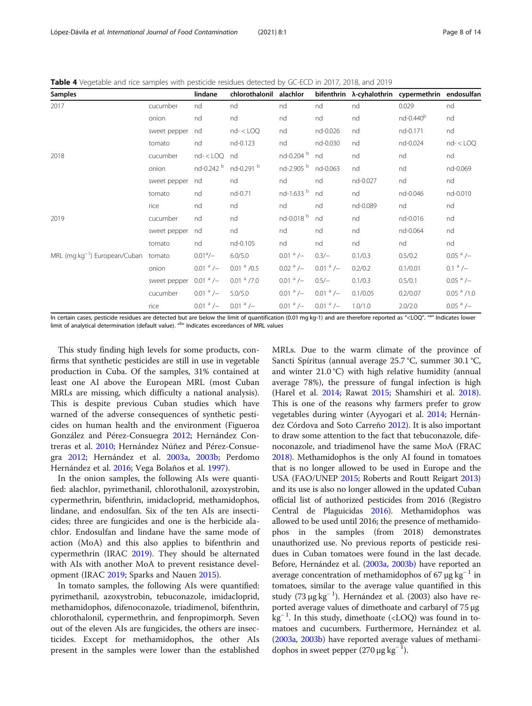<span id="page-7-0"></span>Table 4 Vegetable and rice samples with pesticide residues detected by GC-ECD in 2017, 2018, and 2019

| <b>Samples</b>                                   |              | lindane                | chlorothalonil        | alachlor               |                        |          | bifenthrin λ-cyhalothrin cypermethrin endosulfan |                        |
|--------------------------------------------------|--------------|------------------------|-----------------------|------------------------|------------------------|----------|--------------------------------------------------|------------------------|
| 2017                                             | cucumber     | nd                     | nd                    | nd                     | nd                     | nd       | 0.029                                            | nd                     |
|                                                  | onion        | nd                     | nd                    | nd                     | nd                     | nd       | nd-0.440 <sup>b</sup>                            | nd                     |
|                                                  | sweet pepper | nd                     | $nd - <$ $LOQ$        | nd                     | nd-0.026               | nd       | nd-0.171                                         | nd                     |
|                                                  | tomato       | nd                     | nd-0.123              | nd                     | nd-0.030               | nd       | nd-0.024                                         | $nd - <$ $LOQ$         |
| 2018                                             | cucumber     | $nd - <$ $LOQ$         | nd                    | nd-0.204 b             | nd                     | nd       | nd                                               | nd                     |
|                                                  | onion        | nd-0.242 b             | nd-0.291 b            | nd-2.905 b             | nd-0.063               | nd       | nd                                               | nd-0.069               |
|                                                  | sweet pepper | nd                     | nd                    | nd                     | nd                     | nd-0.027 | nd                                               | nd                     |
|                                                  | tomato       | nd                     | nd-0.71               | nd-1.633 b             | nd                     | nd       | nd-0.046                                         | nd-0.010               |
|                                                  | rice         | nd                     | nd                    | nd                     | nd                     | nd-0.089 | nd                                               | nd                     |
| 2019                                             | cucumber     | nd                     | nd                    | nd-0.018 b             | nd                     | nd       | nd-0.016                                         | nd                     |
|                                                  | sweet pepper | nd                     | nd                    | nd                     | nd                     | nd       | nd-0.064                                         | nd                     |
|                                                  | tomato       | nd                     | nd-0.105              | nd                     | nd                     | nd       | nd                                               | nd                     |
| MRL (mg kg <sup>-1</sup> ) European/Cuban tomato |              | $0.01^{\circ}/-$       | 6.0/5.0               | $0.01^{\text{a}}$ /–   | $0.3/-$                | 0.1/0.3  | 0.5/0.2                                          | $0.05$ $^{\rm a}$ /–   |
|                                                  | onion        | $0.01$ <sup>a</sup> /- | $0.01$ $\degree$ /0.5 | $0.02$ <sup>a</sup> /- | $0.01$ <sup>a</sup> /- | 0.2/0.2  | 0.1/0.01                                         | $0.1 a/-$              |
|                                                  | sweet pepper | $0.01$ <sup>a</sup> /- | $0.01a$ /7.0          | $0.01$ <sup>a</sup> /- | $0.5/-$                | 0.1/0.3  | 0.5/0.1                                          | $0.05$ <sup>a</sup> /- |
|                                                  | cucumber     | $0.01$ <sup>a</sup> /- | 5.0/5.0               | $0.01^{\text{a}}$ /–   | $0.01$ <sup>a</sup> /- | 0.1/0.05 | 0.2/0.07                                         | $0.05a$ /1.0           |
|                                                  | rice         | $0.01a$ /–             | $0.01a$ /–            | $0.01$ <sup>a</sup> /- | $0.01a$ /-             | 1.0/1.0  | 2.0/2.0                                          | $0.05$ <sup>a</sup> /- |

In certain cases, pesticide residues are detected but are below the limit of quantification (0.01 mg kg-1) and are therefore reported as "<LOQ". "a" Indicates lower limit of analytical determination (default value). "<sup>b</sup>" Indicates exceedances of MRL values

This study finding high levels for some products, confirms that synthetic pesticides are still in use in vegetable production in Cuba. Of the samples, 31% contained at least one AI above the European MRL (most Cuban MRLs are missing, which difficulty a national analysis). This is despite previous Cuban studies which have warned of the adverse consequences of synthetic pesticides on human health and the environment (Figueroa González and Pérez-Consuegra [2012](#page-12-0); Hernández Contreras et al. [2010;](#page-12-0) Hernández Núñez and Pérez-Consuegra [2012;](#page-12-0) Hernández et al. [2003a,](#page-12-0) [2003b](#page-12-0); Perdomo Hernández et al. [2016;](#page-13-0) Vega Bolaños et al. [1997](#page-13-0)).

In the onion samples, the following AIs were quantified: alachlor, pyrimethanil, chlorothalonil, azoxystrobin, cypermethrin, bifenthrin, imidacloprid, methamidophos, lindane, and endosulfan. Six of the ten AIs are insecticides; three are fungicides and one is the herbicide alachlor. Endosulfan and lindane have the same mode of action (MoA) and this also applies to bifenthrin and cypermethrin (IRAC [2019](#page-12-0)). They should be alternated with AIs with another MoA to prevent resistance development (IRAC [2019;](#page-12-0) Sparks and Nauen [2015](#page-13-0)).

In tomato samples, the following AIs were quantified: pyrimethanil, azoxystrobin, tebuconazole, imidacloprid, methamidophos, difenoconazole, triadimenol, bifenthrin, chlorothalonil, cypermethrin, and fenpropimorph. Seven out of the eleven AIs are fungicides, the others are insecticides. Except for methamidophos, the other AIs present in the samples were lower than the established

MRLs. Due to the warm climate of the province of Sancti Spíritus (annual average 25.7 °C, summer 30.1 °C, and winter 21.0 °C) with high relative humidity (annual average 78%), the pressure of fungal infection is high (Harel et al. [2014](#page-12-0); Rawat [2015;](#page-13-0) Shamshiri et al. [2018](#page-13-0)). This is one of the reasons why farmers prefer to grow vegetables during winter (Ayyogari et al. [2014](#page-12-0); Hernández Córdova and Soto Carreño [2012](#page-12-0)). It is also important to draw some attention to the fact that tebuconazole, difenoconazole, and triadimenol have the same MoA (FRAC [2018\)](#page-12-0). Methamidophos is the only AI found in tomatoes that is no longer allowed to be used in Europe and the USA (FAO/UNEP [2015;](#page-12-0) Roberts and Routt Reigart [2013](#page-13-0)) and its use is also no longer allowed in the updated Cuban official list of authorized pesticides from 2016 (Registro Central de Plaguicidas [2016\)](#page-13-0). Methamidophos was allowed to be used until 2016; the presence of methamidophos in the samples (from 2018) demonstrates unauthorized use. No previous reports of pesticide residues in Cuban tomatoes were found in the last decade. Before, Hernández et al. ([2003a](#page-12-0), [2003b](#page-12-0)) have reported an average concentration of methamidophos of 67 μg  $kg^{-1}$  in tomatoes, similar to the average value quantified in this study (73 μg kg<sup>−</sup> <sup>1</sup> ). Hernández et al. (2003) also have reported average values of dimethoate and carbaryl of 75 μg kg<sup>-1</sup>. In this study, dimethoate (<LOQ) was found in tomatoes and cucumbers. Furthermore, Hernández et al. ([2003a](#page-12-0), [2003b](#page-12-0)) have reported average values of methamidophos in sweet pepper (270  $\mu$ g kg<sup>-1</sup>).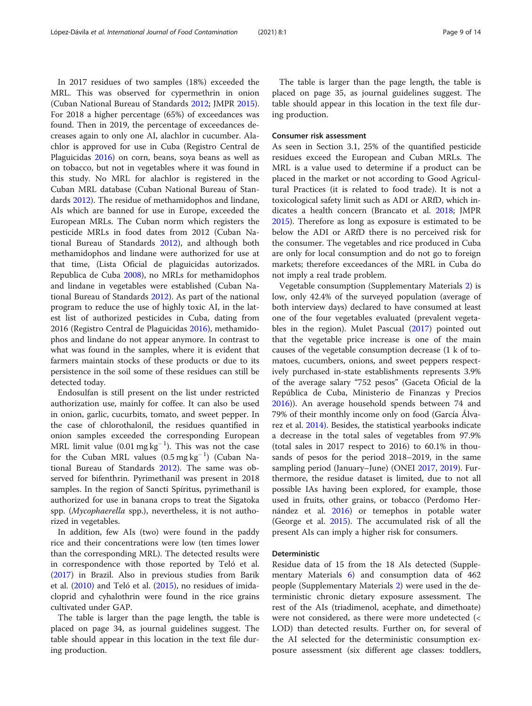In 2017 residues of two samples (18%) exceeded the MRL. This was observed for cypermethrin in onion (Cuban National Bureau of Standards [2012;](#page-12-0) JMPR [2015](#page-12-0)). For 2018 a higher percentage (65%) of exceedances was found. Then in 2019, the percentage of exceedances decreases again to only one AI, alachlor in cucumber. Alachlor is approved for use in Cuba (Registro Central de Plaguicidas [2016\)](#page-13-0) on corn, beans, soya beans as well as on tobacco, but not in vegetables where it was found in this study. No MRL for alachlor is registered in the Cuban MRL database (Cuban National Bureau of Standards [2012](#page-12-0)). The residue of methamidophos and lindane, AIs which are banned for use in Europe, exceeded the European MRLs. The Cuban norm which registers the pesticide MRLs in food dates from 2012 (Cuban National Bureau of Standards [2012\)](#page-12-0), and although both methamidophos and lindane were authorized for use at that time, (Lista Oficial de plaguicidas autorizados. Republica de Cuba [2008](#page-13-0)), no MRLs for methamidophos and lindane in vegetables were established (Cuban National Bureau of Standards [2012\)](#page-12-0). As part of the national program to reduce the use of highly toxic AI, in the latest list of authorized pesticides in Cuba, dating from 2016 (Registro Central de Plaguicidas [2016](#page-13-0)), methamidophos and lindane do not appear anymore. In contrast to what was found in the samples, where it is evident that farmers maintain stocks of these products or due to its persistence in the soil some of these residues can still be detected today.

Endosulfan is still present on the list under restricted authorization use, mainly for coffee. It can also be used in onion, garlic, cucurbits, tomato, and sweet pepper. In the case of chlorothalonil, the residues quantified in onion samples exceeded the corresponding European MRL limit value  $(0.01 \text{ mg kg}^{-1})$ . This was not the case for the Cuban MRL values (0.5 mg kg<sup>-1</sup>) (Cuban National Bureau of Standards [2012](#page-12-0)). The same was observed for bifenthrin. Pyrimethanil was present in 2018 samples. In the region of Sancti Spíritus, pyrimethanil is authorized for use in banana crops to treat the Sigatoka spp. (Mycophaerella spp.), nevertheless, it is not authorized in vegetables.

In addition, few AIs (two) were found in the paddy rice and their concentrations were low (ten times lower than the corresponding MRL). The detected results were in correspondence with those reported by Teló et al. ([2017](#page-13-0)) in Brazil. Also in previous studies from Barik et al. ([2010](#page-12-0)) and Teló et al. ([2015\)](#page-13-0), no residues of imidacloprid and cyhalothrin were found in the rice grains cultivated under GAP.

The table is larger than the page length, the table is placed on page 34, as journal guidelines suggest. The table should appear in this location in the text file during production.

The table is larger than the page length, the table is placed on page 35, as journal guidelines suggest. The table should appear in this location in the text file during production.

#### Consumer risk assessment

As seen in Section 3.1, 25% of the quantified pesticide residues exceed the European and Cuban MRLs. The MRL is a value used to determine if a product can be placed in the market or not according to Good Agricultural Practices (it is related to food trade). It is not a toxicological safety limit such as ADI or ARfD, which indicates a health concern (Brancato et al. [2018](#page-12-0); JMPR [2015](#page-12-0)). Therefore as long as exposure is estimated to be below the ADI or ARfD there is no perceived risk for the consumer. The vegetables and rice produced in Cuba are only for local consumption and do not go to foreign markets; therefore exceedances of the MRL in Cuba do not imply a real trade problem.

Vegetable consumption (Supplementary Materials [2\)](#page-11-0) is low, only 42.4% of the surveyed population (average of both interview days) declared to have consumed at least one of the four vegetables evaluated (prevalent vegetables in the region). Mulet Pascual [\(2017\)](#page-13-0) pointed out that the vegetable price increase is one of the main causes of the vegetable consumption decrease (1 k of tomatoes, cucumbers, onions, and sweet peppers respectively purchased in-state establishments represents 3.9% of the average salary "752 pesos" (Gaceta Oficial de la República de Cuba, Ministerio de Finanzas y Precios [2016](#page-12-0))). An average household spends between 74 and 79% of their monthly income only on food (García Álvarez et al. [2014](#page-12-0)). Besides, the statistical yearbooks indicate a decrease in the total sales of vegetables from 97.9% (total sales in 2017 respect to 2016) to 60.1% in thousands of pesos for the period 2018–2019, in the same sampling period (January–June) (ONEI [2017,](#page-13-0) [2019\)](#page-13-0). Furthermore, the residue dataset is limited, due to not all possible IAs having been explored, for example, those used in fruits, other grains, or tobacco (Perdomo Hernández et al. [2016](#page-13-0)) or temephos in potable water (George et al. [2015](#page-12-0)). The accumulated risk of all the present AIs can imply a higher risk for consumers.

# Deterministic

Residue data of 15 from the 18 AIs detected (Supplementary Materials [6](#page-11-0)) and consumption data of 462 people (Supplementary Materials [2](#page-11-0)) were used in the deterministic chronic dietary exposure assessment. The rest of the AIs (triadimenol, acephate, and dimethoate) were not considered, as there were more undetected (< LOD) than detected results. Further on, for several of the AI selected for the deterministic consumption exposure assessment (six different age classes: toddlers,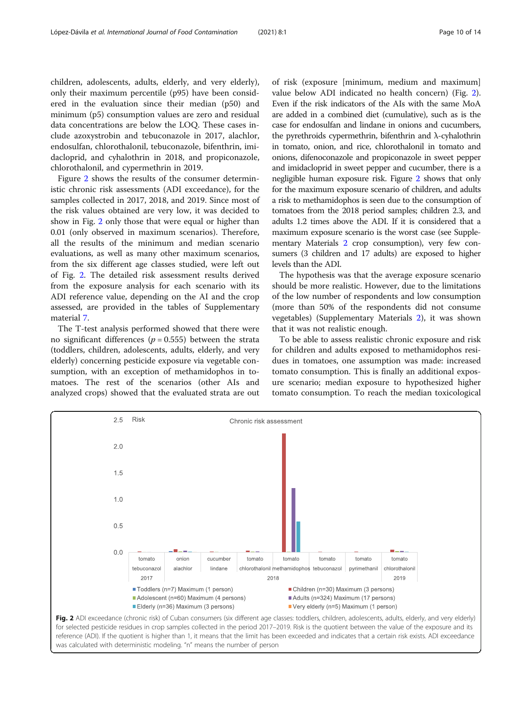children, adolescents, adults, elderly, and very elderly), only their maximum percentile (p95) have been considered in the evaluation since their median (p50) and minimum (p5) consumption values are zero and residual data concentrations are below the LOQ. These cases include azoxystrobin and tebuconazole in 2017, alachlor, endosulfan, chlorothalonil, tebuconazole, bifenthrin, imidacloprid, and cyhalothrin in 2018, and propiconazole, chlorothalonil, and cypermethrin in 2019.

Figure 2 shows the results of the consumer deterministic chronic risk assessments (ADI exceedance), for the samples collected in 2017, 2018, and 2019. Since most of the risk values obtained are very low, it was decided to show in Fig. 2 only those that were equal or higher than 0.01 (only observed in maximum scenarios). Therefore, all the results of the minimum and median scenario evaluations, as well as many other maximum scenarios, from the six different age classes studied, were left out of Fig. 2. The detailed risk assessment results derived from the exposure analysis for each scenario with its ADI reference value, depending on the AI and the crop assessed, are provided in the tables of Supplementary material [7.](#page-11-0)

The T-test analysis performed showed that there were no significant differences ( $p = 0.555$ ) between the strata (toddlers, children, adolescents, adults, elderly, and very elderly) concerning pesticide exposure via vegetable consumption, with an exception of methamidophos in tomatoes. The rest of the scenarios (other AIs and analyzed crops) showed that the evaluated strata are out of risk (exposure [minimum, medium and maximum] value below ADI indicated no health concern) (Fig. 2). Even if the risk indicators of the AIs with the same MoA are added in a combined diet (cumulative), such as is the case for endosulfan and lindane in onions and cucumbers, the pyrethroids cypermethrin, bifenthrin and λ-cyhalothrin in tomato, onion, and rice, chlorothalonil in tomato and onions, difenoconazole and propiconazole in sweet pepper and imidacloprid in sweet pepper and cucumber, there is a negligible human exposure risk. Figure 2 shows that only for the maximum exposure scenario of children, and adults a risk to methamidophos is seen due to the consumption of tomatoes from the 2018 period samples; children 2.3, and adults 1.2 times above the ADI. If it is considered that a maximum exposure scenario is the worst case (see Supplementary Materials [2](#page-11-0) crop consumption), very few consumers (3 children and 17 adults) are exposed to higher levels than the ADI.

The hypothesis was that the average exposure scenario should be more realistic. However, due to the limitations of the low number of respondents and low consumption (more than 50% of the respondents did not consume vegetables) (Supplementary Materials [2](#page-11-0)), it was shown that it was not realistic enough.

To be able to assess realistic chronic exposure and risk for children and adults exposed to methamidophos residues in tomatoes, one assumption was made: increased tomato consumption. This is finally an additional exposure scenario; median exposure to hypothesized higher tomato consumption. To reach the median toxicological

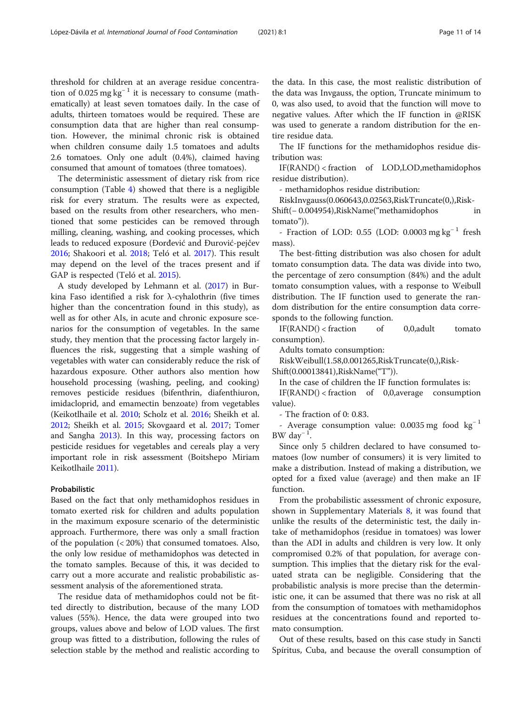threshold for children at an average residue concentration of 0.025 mg kg<sup>-1</sup> it is necessary to consume (mathematically) at least seven tomatoes daily. In the case of adults, thirteen tomatoes would be required. These are consumption data that are higher than real consumption. However, the minimal chronic risk is obtained when children consume daily 1.5 tomatoes and adults 2.6 tomatoes. Only one adult (0.4%), claimed having consumed that amount of tomatoes (three tomatoes).

The deterministic assessment of dietary risk from rice consumption (Table [4\)](#page-7-0) showed that there is a negligible risk for every stratum. The results were as expected, based on the results from other researchers, who mentioned that some pesticides can be removed through milling, cleaning, washing, and cooking processes, which leads to reduced exposure (Đorđević and Đurović-pejčev [2016](#page-12-0); Shakoori et al. [2018](#page-13-0); Teló et al. [2017\)](#page-13-0). This result may depend on the level of the traces present and if GAP is respected (Teló et al. [2015](#page-13-0)).

A study developed by Lehmann et al. ([2017](#page-13-0)) in Burkina Faso identified a risk for λ-cyhalothrin (five times higher than the concentration found in this study), as well as for other AIs, in acute and chronic exposure scenarios for the consumption of vegetables. In the same study, they mention that the processing factor largely influences the risk, suggesting that a simple washing of vegetables with water can considerably reduce the risk of hazardous exposure. Other authors also mention how household processing (washing, peeling, and cooking) removes pesticide residues (bifenthrin, diafenthiuron, imidacloprid, and emamectin benzoate) from vegetables (Keikotlhaile et al. [2010;](#page-12-0) Scholz et al. [2016;](#page-13-0) Sheikh et al. [2012](#page-13-0); Sheikh et al. [2015](#page-13-0); Skovgaard et al. [2017](#page-13-0); Tomer and Sangha [2013](#page-13-0)). In this way, processing factors on pesticide residues for vegetables and cereals play a very important role in risk assessment (Boitshepo Miriam Keikotlhaile [2011\)](#page-12-0).

#### Probabilistic

Based on the fact that only methamidophos residues in tomato exerted risk for children and adults population in the maximum exposure scenario of the deterministic approach. Furthermore, there was only a small fraction of the population (< 20%) that consumed tomatoes. Also, the only low residue of methamidophos was detected in the tomato samples. Because of this, it was decided to carry out a more accurate and realistic probabilistic assessment analysis of the aforementioned strata.

The residue data of methamidophos could not be fitted directly to distribution, because of the many LOD values (55%). Hence, the data were grouped into two groups, values above and below of LOD values. The first group was fitted to a distribution, following the rules of selection stable by the method and realistic according to

the data. In this case, the most realistic distribution of the data was Invgauss, the option, Truncate minimum to 0, was also used, to avoid that the function will move to negative values. After which the IF function in @RISK was used to generate a random distribution for the entire residue data.

The IF functions for the methamidophos residue distribution was:

IF(RAND() < fraction of LOD,LOD,methamidophos residue distribution).

- methamidophos residue distribution:

RiskInvgauss(0.060643,0.02563,RiskTruncate(0,),Risk-

Shift(− 0.004954),RiskName("methamidophos in tomato")).

- Fraction of LOD: 0.55 (LOD: 0.0003 mg kg<sup>-1</sup> fresh mass).

The best-fitting distribution was also chosen for adult tomato consumption data. The data was divide into two, the percentage of zero consumption (84%) and the adult tomato consumption values, with a response to Weibull distribution. The IF function used to generate the random distribution for the entire consumption data corresponds to the following function.

 $IF(RAND() < fraction$  of 0,0,adult tomato consumption).

Adults tomato consumption:

RiskWeibull(1.58,0.001265,RiskTruncate(0,),Risk-Shift(0.00013841),RiskName("T")).

In the case of children the IF function formulates is:

 $IF(RAND() < fraction$  of 0,0, average consumption value).

- The fraction of 0: 0.83.

- Average consumption value: 0.0035 mg food kg<sup>−</sup> <sup>1</sup> BW day<sup>-1</sup>.

Since only 5 children declared to have consumed tomatoes (low number of consumers) it is very limited to make a distribution. Instead of making a distribution, we opted for a fixed value (average) and then make an IF function.

From the probabilistic assessment of chronic exposure, shown in Supplementary Materials [8,](#page-11-0) it was found that unlike the results of the deterministic test, the daily intake of methamidophos (residue in tomatoes) was lower than the ADI in adults and children is very low. It only compromised 0.2% of that population, for average consumption. This implies that the dietary risk for the evaluated strata can be negligible. Considering that the probabilistic analysis is more precise than the deterministic one, it can be assumed that there was no risk at all from the consumption of tomatoes with methamidophos residues at the concentrations found and reported tomato consumption.

Out of these results, based on this case study in Sancti Spíritus, Cuba, and because the overall consumption of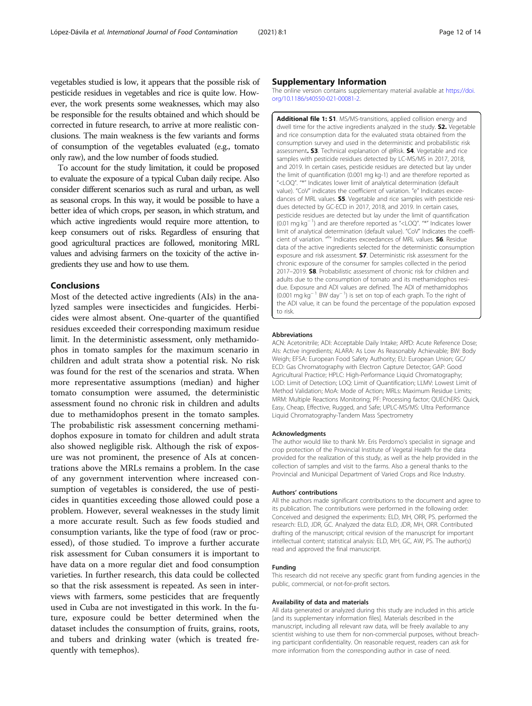<span id="page-11-0"></span>vegetables studied is low, it appears that the possible risk of pesticide residues in vegetables and rice is quite low. However, the work presents some weaknesses, which may also be responsible for the results obtained and which should be corrected in future research, to arrive at more realistic conclusions. The main weakness is the few variants and forms of consumption of the vegetables evaluated (e.g., tomato only raw), and the low number of foods studied.

To account for the study limitation, it could be proposed to evaluate the exposure of a typical Cuban daily recipe. Also consider different scenarios such as rural and urban, as well as seasonal crops. In this way, it would be possible to have a better idea of which crops, per season, in which stratum, and which active ingredients would require more attention, to keep consumers out of risks. Regardless of ensuring that good agricultural practices are followed, monitoring MRL values and advising farmers on the toxicity of the active ingredients they use and how to use them.

# Conclusions

Most of the detected active ingredients (AIs) in the analyzed samples were insecticides and fungicides. Herbicides were almost absent. One-quarter of the quantified residues exceeded their corresponding maximum residue limit. In the deterministic assessment, only methamidophos in tomato samples for the maximum scenario in children and adult strata show a potential risk. No risk was found for the rest of the scenarios and strata. When more representative assumptions (median) and higher tomato consumption were assumed, the deterministic assessment found no chronic risk in children and adults due to methamidophos present in the tomato samples. The probabilistic risk assessment concerning methamidophos exposure in tomato for children and adult strata also showed negligible risk. Although the risk of exposure was not prominent, the presence of AIs at concentrations above the MRLs remains a problem. In the case of any government intervention where increased consumption of vegetables is considered, the use of pesticides in quantities exceeding those allowed could pose a problem. However, several weaknesses in the study limit a more accurate result. Such as few foods studied and consumption variants, like the type of food (raw or processed), of those studied. To improve a further accurate risk assessment for Cuban consumers it is important to have data on a more regular diet and food consumption varieties. In further research, this data could be collected so that the risk assessment is repeated. As seen in interviews with farmers, some pesticides that are frequently used in Cuba are not investigated in this work. In the future, exposure could be better determined when the dataset includes the consumption of fruits, grains, roots, and tubers and drinking water (which is treated frequently with temephos).

#### Supplementary Information

The online version contains supplementary material available at [https://doi.](https://doi.org/10.1186/s40550-021-00081-2) [org/10.1186/s40550-021-00081-2.](https://doi.org/10.1186/s40550-021-00081-2)

Additional file 1: S1. MS/MS-transitions, applied collision energy and dwell time for the active ingredients analyzed in the study. **S2.** Vegetable and rice consumption data for the evaluated strata obtained from the consumption survey and used in the deterministic and probabilistic risk assessment. S3. Technical explanation of @Risk. S4. Vegetable and rice samples with pesticide residues detected by LC-MS/MS in 2017, 2018, and 2019. In certain cases, pesticide residues are detected but lay under the limit of quantification (0.001 mg kg-1) and are therefore reported as "<LOQ". "\*" Indicates lower limit of analytical determination (default value). "CoV" indicates the coefficient of variation. "e" Indicates exceedances of MRL values. **S5**. Vegetable and rice samples with pesticide residues detected by GC-ECD in 2017, 2018, and 2019. In certain cases, pesticide residues are detected but lay under the limit of quantification (0.01 mg kg<sup>-1</sup>) and are therefore reported as "<LOQ". "\*" Indicates lower limit of analytical determination (default value). "CoV" Indicates the coefficient of variation. "<sup>e</sup>" Indicates exceedances of MRL values. **S6**. Residue data of the active ingredients selected for the deterministic consumption exposure and risk assessment. S7. Deterministic risk assessment for the chronic exposure of the consumer for samples collected in the period 2017–2019. **S8.** Probabilistic assessment of chronic risk for children and adults due to the consumption of tomato and its methamidophos residue. Exposure and ADI values are defined. The ADI of methamidophos (0.001 mg kg<sup>-1</sup> BW day<sup>-1</sup>) is set on top of each graph. To the right of the ADI value, it can be found the percentage of the population exposed to risk.

#### Abbreviations

ACN: Acetonitrile; ADI: Acceptable Daily Intake; ARfD: Acute Reference Dose; AIs: Active ingredients; ALARA: As Low As Reasonably Achievable; BW: Body Weigh; EFSA: European Food Safety Authority; EU: European Union; GC/ ECD: Gas Chromatography with Electron Capture Detector; GAP: Good Agricultural Practice; HPLC: High-Performance Liquid Chromatography; LOD: Limit of Detection; LOQ: Limit of Quantification; LLMV: Lowest Limit of Method Validation; MoA: Mode of Action; MRLs: Maximum Residue Limits; MRM: Multiple Reactions Monitoring; PF: Processing factor; QUEChERS: Quick, Easy, Cheap, Effective, Rugged, and Safe; UPLC-MS/MS: Ultra Performance Liquid Chromatography-Tandem Mass Spectrometry

#### Acknowledgments

The author would like to thank Mr. Eris Perdomo's specialist in signage and crop protection of the Provincial Institute of Vegetal Health for the data provided for the realization of this study, as well as the help provided in the collection of samples and visit to the farms. Also a general thanks to the Provincial and Municipal Department of Varied Crops and Rice Industry.

#### Authors' contributions

All the authors made significant contributions to the document and agree to its publication. The contributions were performed in the following order: Conceived and designed the experiments: ELD, MH, ORR, PS. performed the research: ELD, JDR, GC. Analyzed the data: ELD, JDR, MH, ORR. Contributed drafting of the manuscript; critical revision of the manuscript for important intellectual content; statistical analysis: ELD, MH, GC, AW, PS. The author(s) read and approved the final manuscript.

#### Funding

This research did not receive any specific grant from funding agencies in the public, commercial, or not-for-profit sectors.

#### Availability of data and materials

All data generated or analyzed during this study are included in this article [and its supplementary information files]. Materials described in the manuscript, including all relevant raw data, will be freely available to any scientist wishing to use them for non-commercial purposes, without breaching participant confidentiality. On reasonable request, readers can ask for more information from the corresponding author in case of need.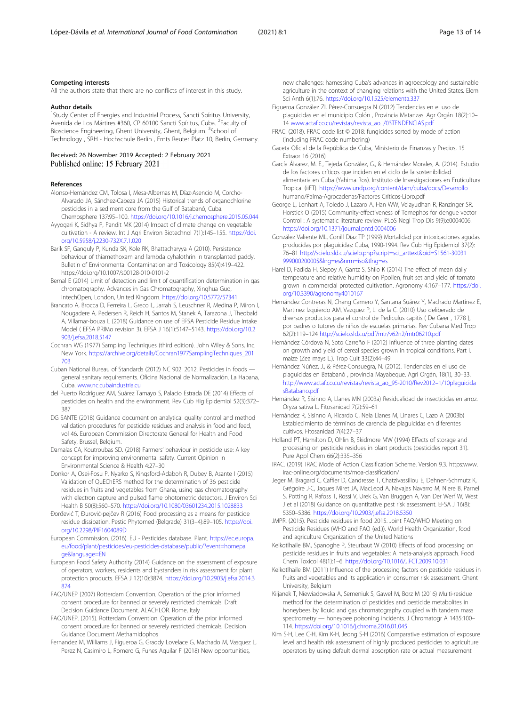#### <span id="page-12-0"></span>Competing interests

All the authors state that there are no conflicts of interest in this study.

#### Author details

<sup>1</sup>Study Center of Energies and Industrial Process, Sancti Spíritus University, Avenida de Los Mártires #360, CP 60100 Sancti Spíritus, Cuba. <sup>2</sup>Faculty of Bioscience Engineering, Ghent University, Ghent, Belgium. <sup>3</sup>School of Technology , SRH - Hochschule Berlin , Ernts Reuter Platz 10, Berlin, Germany.

#### Received: 26 November 2019 Accepted: 2 February 2021 Published online: 15 February 2021

#### References

- Alonso-Hernández CM, Tolosa I, Mesa-Albernas M, Díaz-Asencio M, Corcho-Alvarado JA, Sánchez-Cabeza JA (2015) Historical trends of organochlorine pesticides in a sediment core from the Gulf of Batabanó, Cuba. Chemosphere 137:95–100. <https://doi.org/10.1016/j.chemosphere.2015.05.044>
- Ayyogari K, Sidhya P, Pandit MK (2014) Impact of climate change on vegetable cultivation - A review. Int J Agri Environ Biotechnol 7(1):145–155. [https://doi.](https://doi.org/10.5958/j.2230-732X.7.1.020) [org/10.5958/j.2230-732X.7.1.020](https://doi.org/10.5958/j.2230-732X.7.1.020)
- Barik SF, Ganguly P, Kunda SK, Kole RK, Bhattacharyya A (2010). Persistence behaviour of thiamethoxam and lambda cyhalothrin in transplanted paddy. Bulletin of Environmental Contamination and Toxicology 85(4):419–422. https://doi.org/10.1007/s00128-010-0101-2
- Bernal E (2014) Limit of detection and limit of quantification determination in gas chromatography. Advances in Gas Chromatography, Xinghua Guo, IntechOpen, London, United Kingdom. <https://doi.org/10.5772/57341>
- Brancato A, Brocca D, Ferreira L, Greco L, Jarrah S, Leuschner R, Medina P, Miron I, Nougadere A, Pedersen R, Reich H, Santos M, Stanek A, Tarazona J, Theobald A, Villamar-bouza L (2018) Guidance on use of EFSA Pesticide Residue Intake Model ( EFSA PRIMo revision 3). EFSA J 16(1):5147–5143. [https://doi.org/10.2](https://doi.org/10.2903/j.efsa.2018.5147) [903/j.efsa.2018.5147](https://doi.org/10.2903/j.efsa.2018.5147)
- Cochran WG (1977) Sampling Techniques (third edition). John Wiley & Sons, Inc. New York. [https://archive.org/details/Cochran1977SamplingTechniques\\_201](https://archive.org/details/Cochran1977SamplingTechniques_201703) [703](https://archive.org/details/Cochran1977SamplingTechniques_201703)
- Cuban National Bureau of Standards (2012) NC 902: 2012. Pesticides in foods general sanitary requirements. Oficina Nacional de Normalización. La Habana, Cuba. [www.nc.cubaindustria.cu](http://www.nc.cubaindustria.cu)
- del Puerto Rodríguez AM, Suárez Tamayo S, Palacio Estrada DE (2014) Effects of pesticides on health and the environment. Rev Cub Hig Epidemiol 52(3):372– 387
- DG SANTE (2018) Guidance document on analytical quality control and method validation procedures for pesticide residues and analysis in food and feed, vol 46. European Commission Directorate General for Health and Food Safety, Brussel, Belgium.
- Damalas CA, Koutroubas SD. (2018) Farmers' behaviour in pesticide use: A key concept for improving environmental safety. Current Opinion in Environmental Science & Health 4:27–30
- Donkor A, Osei-Fosu P, Nyarko S, Kingsford-Adaboh R, Dubey B, Asante I (2015) Validation of QuEChERS method for the determination of 36 pesticide residues in fruits and vegetables from Ghana, using gas chromatography with electron capture and pulsed flame photometric detectors. J Environ Sci Health B 50(8):560–570. <https://doi.org/10.1080/03601234.2015.1028833>
- Đorđević T, Đurović-pejčev R (2016) Food processing as a means for pesticide residue dissipation. Pestic Phytomed (Belgrade) 31(3–4):89–105. [https://doi.](https://doi.org/10.2298/PIF1604089D) [org/10.2298/PIF1604089D](https://doi.org/10.2298/PIF1604089D)
- European Commission. (2016). EU Pesticides database. Plant. [https://ec.europa.](https://ec.europa.eu/food/plant/pesticides/eu-pesticides-database/public/?event=homepage&language=EN) [eu/food/plant/pesticides/eu-pesticides-database/public/?event=homepa](https://ec.europa.eu/food/plant/pesticides/eu-pesticides-database/public/?event=homepage&language=EN) [ge&language=EN](https://ec.europa.eu/food/plant/pesticides/eu-pesticides-database/public/?event=homepage&language=EN)
- European Food Safety Authority (2014) Guidance on the assessment of exposure of operators, workers, residents and bystanders in risk assessment for plant protection products. EFSA J 12(10):3874. [https://doi.org/10.2903/j.efsa.2014.3](https://doi.org/10.2903/j.efsa.2014.3874) [874](https://doi.org/10.2903/j.efsa.2014.3874)
- FAO/UNEP (2007) Rotterdam Convention. Operation of the prior informed consent procedure for banned or severely restricted chemicals. Draft Decision Guidance Document. ALACHLOR. Rome, Italy
- FAO/UNEP. (2015). Rotterdam Convention. Operation of the prior informed consent procedure for banned or severely restricted chemicals. Decision Guidance Document Methamidophos
- Fernandez M, Williams J, Figueroa G, Graddy Lovelace G, Machado M, Vasquez L, Perez N, Casimiro L, Romero G, Funes Aguilar F (2018) New opportunities,

new challenges: harnessing Cuba's advances in agroecology and sustainable agriculture in the context of changing relations with the United States. Elem Sci Anth 6(1):76. <https://doi.org/10.1525/elementa.337>

- Figueroa González ZI, Pérez-Consuegra N (2012) Tendencias en el uso de plaguicidas en el municipio Colón , Provincia Matanzas. Agr Orgán 18(2):10– 14 [www.actaf.co.cu/revistas/revista\\_ao.../03TENDENCIAS.pdf](http://www.actaf.co.cu/revistas/revista_ao/03TENDENCIAS.pdf)
- FRAC. (2018). FRAC code list © 2018: fungicides sorted by mode of action (including FRAC code numbering)
- Gaceta Oficial de la República de Cuba, Ministerio de Finanzas y Precios, 15 Extraor 16 (2016)
- García Álvarez, M. E., Tejeda González, G., & Hernández Morales, A. (2014). Estudio de los factores críticos que inciden en el ciclo de la sostenibilidad alimentaria en Cuba (Yahima Ros). Instituto de Investigaciones en Fruticultura Tropical (iiFT). <https://www.undp.org/content/dam/cuba/docs/Desarrollo> humano/Palma-Agrocadenas/Factores Críticos-Libro.pdf
- George L, Lenhart A, Toledo J, Lazaro A, Han WW, Velayudhan R, Ranzinger SR, Horstick O (2015) Community-effectiveness of Temephos for dengue vector Control : A systematic literature review. PLoS Negl Trop Dis 9(9):e0004006. <https://doi.org/10.1371/journal.pntd.0004006>
- González Valiente ML, Conill Díaz TP (1999) Mortalidad por intoxicaciones agudas producidas por plaguicidas: Cuba, 1990-1994. Rev Cub Hig Epidemiol 37(2): 76–81 [http://scielo.sld.cu/scielo.php?script=sci\\_arttext&pid=S1561-30031](http://scielo.sld.cu/scielo.php?script=sci_arttext&pid=S1561-30031999000200005&lng=es&nrm=iso&tlng=es) [999000200005&lng=es&nrm=iso&tlng=es](http://scielo.sld.cu/scielo.php?script=sci_arttext&pid=S1561-30031999000200005&lng=es&nrm=iso&tlng=es)
- Harel D, Fadida H, Slepoy A, Gantz S, Shilo K (2014) The effect of mean daily temperature and relative humidity on Ppollen, fruit set and yield of tomato grown in commercial protected cultivation. Agronomy 4:167–177. [https://doi.](https://doi.org/10.3390/agronomy4010167) [org/10.3390/agronomy4010167](https://doi.org/10.3390/agronomy4010167)
- Hernández Contreras N, Chang Camero Y, Santana Suárez Y, Machado Martínez E, Martinez Izquierdo AM, Vazquez P, L. de la C. (2010) Uso deliberado de diversos productos para el control de Pediculus capitis ( De Geer , 1778 ), por padres o tutores de niños de escuelas primarias. Rev Cubana Med Trop 62(2):119–124 <http://scielo.sld.cu/pdf/mtr/v62n2/mtr06210.pdf>
- Hernández Córdova N, Soto Carreño F (2012) Influence of three planting dates on growth and yield of cereal species grown in tropical conditions. Part I. maize (Zea mays L.). Trop Cult 33(2):44–49
- Hernández Núñez, J., & Pérez-Consuegra, N. (2012). Tendencias en el uso de plaguicidas en Batabanó , provincia Mayabeque. Agri Orgán, 18(1), 30–33. [http://www.actaf.co.cu/revistas/revista\\_ao\\_95-2010/Rev2012](http://www.actaf.co.cu/revistas/revista_ao_95-2010/Rev2012%E2%80%931/10plaguicidasBatabano.pdf)–1/10plaguicida [sBatabano.pdf](http://www.actaf.co.cu/revistas/revista_ao_95-2010/Rev2012%E2%80%931/10plaguicidasBatabano.pdf)
- Hernández R, Sisinno A, Llanes MN (2003a) Residualidad de insecticidas en arroz. Oryza sativa L. Fitosanidad 7(2):59–61
- Hernández R, Sisinno A, Ricardo C, Nela Llanes M, Linares C, Lazo A (2003b) Establecimiento de términos de carencia de plaguicidas en diferentes cultivos. Fitosanidad 7(4):27–37
- Holland PT, Hamilton D, Ohlin B, Skidmore MW (1994) Effects of storage and processing on pesticide residues in plant products (pesticides report 31). Pure Appl Chem 66(2):335–356
- IRAC. (2019). IRAC Mode of Action Classification Scheme. Version 9.3. https:www. irac-online.org/documents/moa-classification/
- Jeger M, Bragard C, Caffier D, Candresse T, Chatzivassiliou E, Dehnen-Schmutz K, Grégoire J-C, Jaques Miret JA, MacLeod A, Navajas Navarro M, Niere B, Parnell S, Potting R, Rafoss T, Rossi V, Urek G, Van Bruggen A, Van Der Werf W, West J et al (2018) Guidance on quantitative pest risk assessment. EFSA J 16(8): 5350–5386. <https://doi.org/10.2903/j.efsa.2018.5350>
- JMPR. (2015). Pesticide residues in food 2015. Joint FAO/WHO Meeting on Pesticide Residues (WHO and FAO (ed.)). World Health Organization, food and agriculture Organization of the United Nations
- Keikotlhaile BM, Spanoghe P, Steurbaut W (2010) Effects of food processing on pesticide residues in fruits and vegetables: A meta-analysis approach. Food Chem Toxicol 48(1):1–6. <https://doi.org/10.1016/J.FCT.2009.10.031>
- Keikotlhaile BM (2011) Influence of the processing factors on pesticide residues in fruits and vegetables and its application in consumer risk assessment. Ghent University, Belgium
- Kiljanek T, Niewiadowska A, Semeniuk S, Gaweł M, Borz M (2016) Multi-residue method for the determination of pesticides and pesticide metabolites in honeybees by liquid and gas chromatography coupled with tandem mass spectrometry — honeybee poisoning incidents. J Chromatogr A 1435:100– 114. <https://doi.org/10.1016/j.chroma.2016.01.045>
- Kim S-H, Lee C-H, Kim K-H, Jeong S-H (2016) Comparative estimation of exposure level and health risk assessment of highly produced pesticides to agriculture operators by using default dermal absorption rate or actual measurement